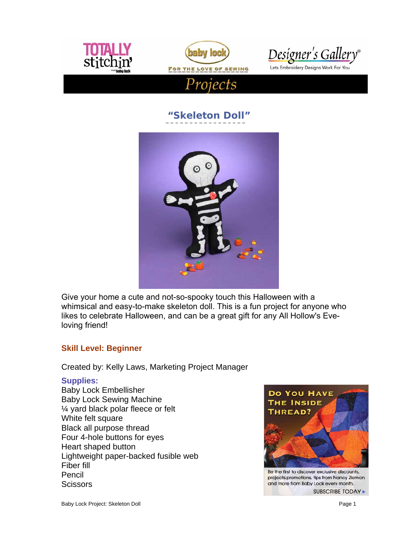



<u> Designer's Galle</u>

Lets Embroidery Designs Work For

## **"Skeleton Doll"**



Give your home a cute and not-so-spooky touch this Halloween with a whimsical and easy-to-make skeleton doll. This is a fun project for anyone who likes to celebrate Halloween, and can be a great gift for any All Hollow's Eveloving friend!

## **Skill Level: Beginner**

Created by: Kelly Laws, Marketing Project Manager

## **Supplies:**

Baby Lock Embellisher Baby Lock Sewing Machine ¼ yard black polar fleece or felt White felt square Black all purpose thread Four 4-hole buttons for eyes Heart shaped button Lightweight paper-backed fusible web Fiber fill Pencil **Scissors** 



projects, promotions, tips from Nancy Zieman and more from Baby Lock every month. SUBSCRIBE TODAY »

Baby Lock Project: Skeleton Doll Page 1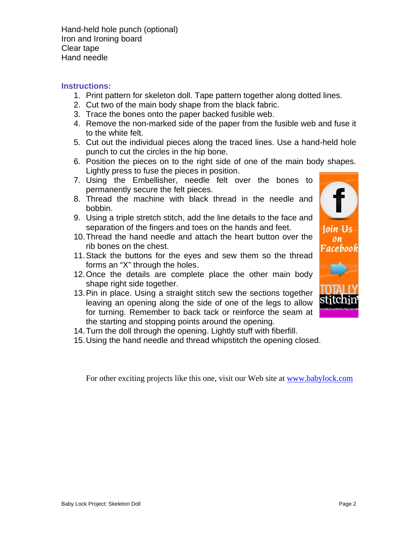Hand-held hole punch (optional) Iron and Ironing board Hand needle Clear tape

## **Instructions:**

- 1. Print pattern for skeleton doll. Tape pattern together along dotted lines.
- 2. Cut two of the main body shape from the black fabric.
- 3. Trace the bones onto the paper backed fusible web.
- 4. Remove the non-marked side of the paper from the fusible web and fuse it to the white felt.
- 5. Cut out the individual pieces along the traced lines. Use a hand-held hole punch to cut the circles in the hip bone.
- 6. Position the pieces on to the right side of one of the main body shapes. Lightly press to fuse the pieces in position.
- 7. Using the Embellisher, needle felt over the bones to permanently secure the felt pieces.
- 8. Thread the machine with black thread in the needle and bobbin.
- 9. Using a triple stretch stitch, add the line details to the face and separation of the fingers and toes on the hands and feet.
- 10. Thread the hand needle and attach the heart button over the rib bones on the chest.
- 11. Stack the buttons for the eyes and sew them so the thread forms an "X" through the holes.
- 12. Once the details are complete place the other main body shape right side together.
- 13. Pin in place. Using a straight stitch sew the sections together for turning. Remember to back tack or reinforce the seam at leaving an opening along the side of one of the legs to allow the starting and stopping points around the opening.
- 14. Turn the doll through the opening. Lightly stuff with fiberfill.
- 15. Using the hand needle and thread whipstitch the opening closed.

For other exciting projects like this one, visit our Web site at www.babylock.com

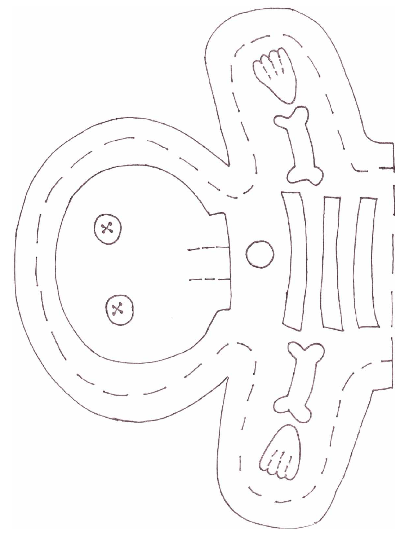